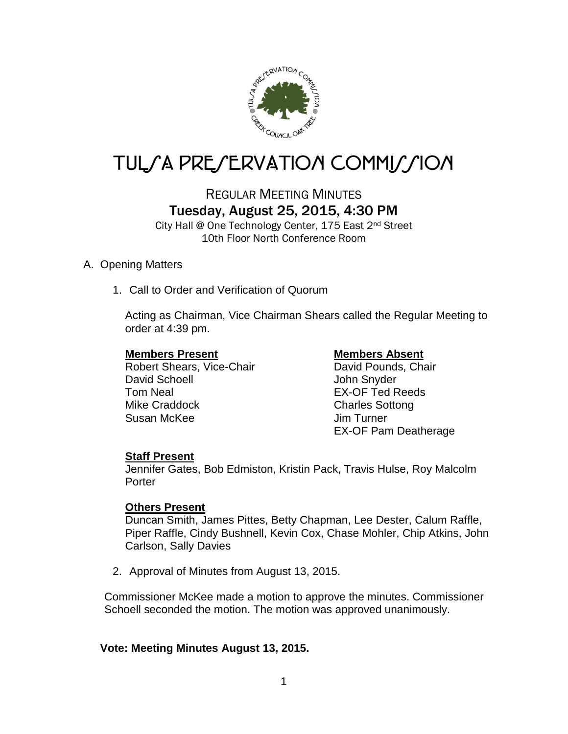

# TUL*SA PRESERVATION COMMISSION*

# REGULAR MEETING MINUTES Tuesday, August 25, 2015, 4:30 PM

City Hall @ One Technology Center, 175 East 2nd Street 10th Floor North Conference Room

### A. Opening Matters

1. Call to Order and Verification of Quorum

Acting as Chairman, Vice Chairman Shears called the Regular Meeting to order at 4:39 pm.

**Members Present Members Absent**<br>
Robert Shears, Vice-Chair<br>
David Pounds, Chair Robert Shears, Vice-Chair David Schoell **David Schoell** John Snyder Tom Neal **EX-OF Ted Reeds** Mike Craddock Charles Sottong Susan McKee Jim Turner

EX-OF Pam Deatherage

### **Staff Present**

Jennifer Gates, Bob Edmiston, Kristin Pack, Travis Hulse, Roy Malcolm **Porter** 

### **Others Present**

Duncan Smith, James Pittes, Betty Chapman, Lee Dester, Calum Raffle, Piper Raffle, Cindy Bushnell, Kevin Cox, Chase Mohler, Chip Atkins, John Carlson, Sally Davies

2. Approval of Minutes from August 13, 2015.

Commissioner McKee made a motion to approve the minutes. Commissioner Schoell seconded the motion. The motion was approved unanimously.

### **Vote: Meeting Minutes August 13, 2015.**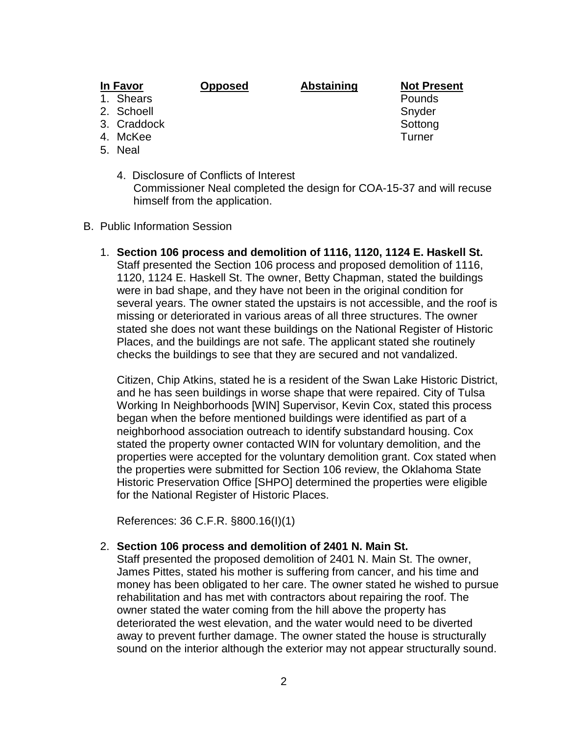#### **In Favor Opposed Abstaining Not Present**

- 
- 2. Schoell Snyder Snyder
- 3. Craddock Sottong Sottong Sottong Sottong Sottong Sottong Sottong Sottong Sottong Sottong Sottong Sottong So
- 4. McKee Turner
- 5. Neal
	- 4. Disclosure of Conflicts of Interest Commissioner Neal completed the design for COA-15-37 and will recuse himself from the application.
- B. Public Information Session
	- 1. **Section 106 process and demolition of 1116, 1120, 1124 E. Haskell St.** Staff presented the Section 106 process and proposed demolition of 1116, 1120, 1124 E. Haskell St. The owner, Betty Chapman, stated the buildings were in bad shape, and they have not been in the original condition for several years. The owner stated the upstairs is not accessible, and the roof is missing or deteriorated in various areas of all three structures. The owner stated she does not want these buildings on the National Register of Historic Places, and the buildings are not safe. The applicant stated she routinely checks the buildings to see that they are secured and not vandalized.

Citizen, Chip Atkins, stated he is a resident of the Swan Lake Historic District, and he has seen buildings in worse shape that were repaired. City of Tulsa Working In Neighborhoods [WIN] Supervisor, Kevin Cox, stated this process began when the before mentioned buildings were identified as part of a neighborhood association outreach to identify substandard housing. Cox stated the property owner contacted WIN for voluntary demolition, and the properties were accepted for the voluntary demolition grant. Cox stated when the properties were submitted for Section 106 review, the Oklahoma State Historic Preservation Office [SHPO] determined the properties were eligible for the National Register of Historic Places.

References: 36 C.F.R. §800.16(I)(1)

#### 2. **Section 106 process and demolition of 2401 N. Main St.**

Staff presented the proposed demolition of 2401 N. Main St. The owner, James Pittes, stated his mother is suffering from cancer, and his time and money has been obligated to her care. The owner stated he wished to pursue rehabilitation and has met with contractors about repairing the roof. The owner stated the water coming from the hill above the property has deteriorated the west elevation, and the water would need to be diverted away to prevent further damage. The owner stated the house is structurally sound on the interior although the exterior may not appear structurally sound.

1. Shears **Pounds Pounds**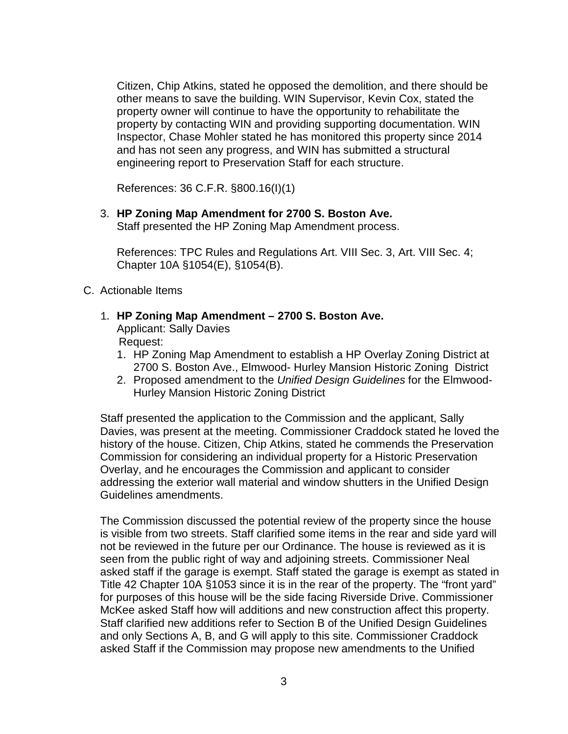Citizen, Chip Atkins, stated he opposed the demolition, and there should be other means to save the building. WIN Supervisor, Kevin Cox, stated the property owner will continue to have the opportunity to rehabilitate the property by contacting WIN and providing supporting documentation. WIN Inspector, Chase Mohler stated he has monitored this property since 2014 and has not seen any progress, and WIN has submitted a structural engineering report to Preservation Staff for each structure.

References: 36 C.F.R. §800.16(I)(1)

3. **HP Zoning Map Amendment for 2700 S. Boston Ave.**

Staff presented the HP Zoning Map Amendment process.

References: TPC Rules and Regulations Art. VIII Sec. 3, Art. VIII Sec. 4; Chapter 10A §1054(E), §1054(B).

- C. Actionable Items
	- 1. **HP Zoning Map Amendment – 2700 S. Boston Ave.**

Applicant: Sally Davies Request:

- 1. HP Zoning Map Amendment to establish a HP Overlay Zoning District at 2700 S. Boston Ave., Elmwood- Hurley Mansion Historic Zoning District
- 2. Proposed amendment to the *Unified Design Guidelines* for the Elmwood-Hurley Mansion Historic Zoning District

Staff presented the application to the Commission and the applicant, Sally Davies, was present at the meeting. Commissioner Craddock stated he loved the history of the house. Citizen, Chip Atkins, stated he commends the Preservation Commission for considering an individual property for a Historic Preservation Overlay, and he encourages the Commission and applicant to consider addressing the exterior wall material and window shutters in the Unified Design Guidelines amendments.

The Commission discussed the potential review of the property since the house is visible from two streets. Staff clarified some items in the rear and side yard will not be reviewed in the future per our Ordinance. The house is reviewed as it is seen from the public right of way and adjoining streets. Commissioner Neal asked staff if the garage is exempt. Staff stated the garage is exempt as stated in Title 42 Chapter 10A §1053 since it is in the rear of the property. The "front yard" for purposes of this house will be the side facing Riverside Drive. Commissioner McKee asked Staff how will additions and new construction affect this property. Staff clarified new additions refer to Section B of the Unified Design Guidelines and only Sections A, B, and G will apply to this site. Commissioner Craddock asked Staff if the Commission may propose new amendments to the Unified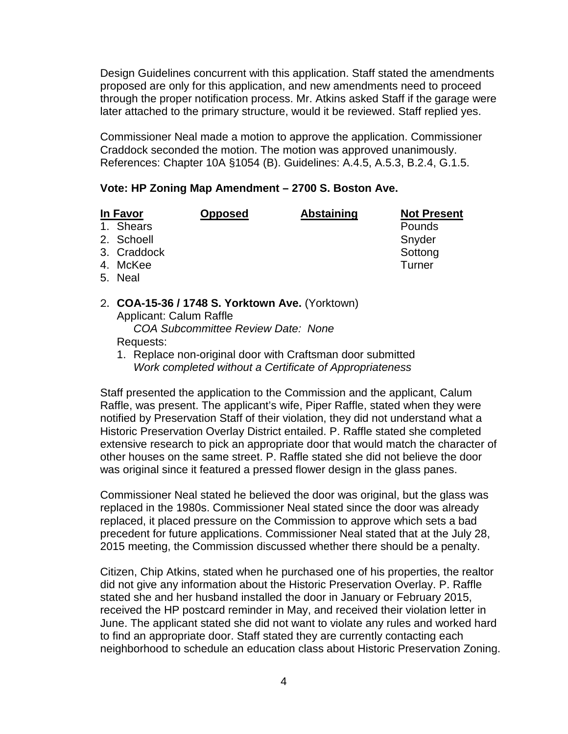Design Guidelines concurrent with this application. Staff stated the amendments proposed are only for this application, and new amendments need to proceed through the proper notification process. Mr. Atkins asked Staff if the garage were later attached to the primary structure, would it be reviewed. Staff replied yes.

Commissioner Neal made a motion to approve the application. Commissioner Craddock seconded the motion. The motion was approved unanimously. References: Chapter 10A §1054 (B). Guidelines: A.4.5, A.5.3, B.2.4, G.1.5.

#### **Vote: HP Zoning Map Amendment – 2700 S. Boston Ave.**

| In Favor |             | <b>Opposed</b> | <b>Abstaining</b> | <b>Not Present</b> |
|----------|-------------|----------------|-------------------|--------------------|
|          | 1. Shears   |                |                   | Pounds             |
|          | 2. Schoell  |                |                   | Snyder             |
|          | 3. Craddock |                |                   | Sottong            |
|          | 4. McKee    |                |                   | Turner             |
|          | 5. Neal     |                |                   |                    |

2. **COA-15-36 / 1748 S. Yorktown Ave.** (Yorktown) Applicant: Calum Raffle *COA Subcommittee Review Date: None*

Requests:

1. Replace non-original door with Craftsman door submitted *Work completed without a Certificate of Appropriateness*

Staff presented the application to the Commission and the applicant, Calum Raffle, was present. The applicant's wife, Piper Raffle, stated when they were notified by Preservation Staff of their violation, they did not understand what a Historic Preservation Overlay District entailed. P. Raffle stated she completed extensive research to pick an appropriate door that would match the character of other houses on the same street. P. Raffle stated she did not believe the door was original since it featured a pressed flower design in the glass panes.

Commissioner Neal stated he believed the door was original, but the glass was replaced in the 1980s. Commissioner Neal stated since the door was already replaced, it placed pressure on the Commission to approve which sets a bad precedent for future applications. Commissioner Neal stated that at the July 28, 2015 meeting, the Commission discussed whether there should be a penalty.

Citizen, Chip Atkins, stated when he purchased one of his properties, the realtor did not give any information about the Historic Preservation Overlay. P. Raffle stated she and her husband installed the door in January or February 2015, received the HP postcard reminder in May, and received their violation letter in June. The applicant stated she did not want to violate any rules and worked hard to find an appropriate door. Staff stated they are currently contacting each neighborhood to schedule an education class about Historic Preservation Zoning.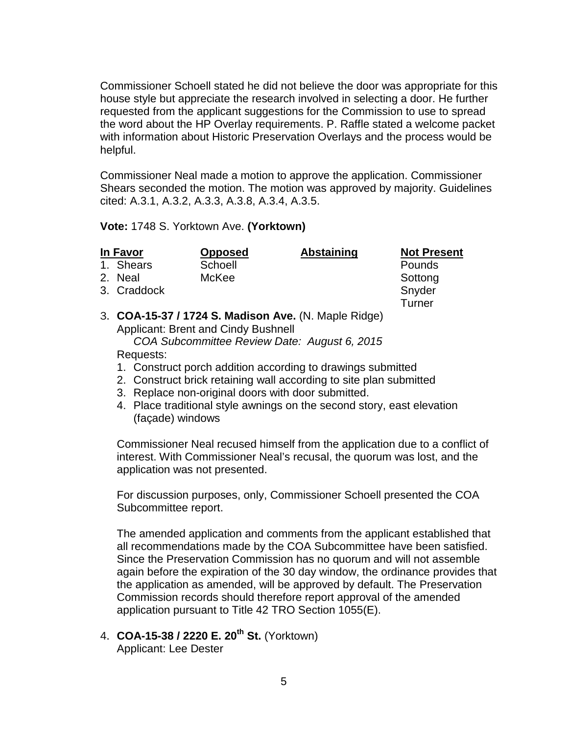Commissioner Schoell stated he did not believe the door was appropriate for this house style but appreciate the research involved in selecting a door. He further requested from the applicant suggestions for the Commission to use to spread the word about the HP Overlay requirements. P. Raffle stated a welcome packet with information about Historic Preservation Overlays and the process would be helpful.

Commissioner Neal made a motion to approve the application. Commissioner Shears seconded the motion. The motion was approved by majority. Guidelines cited: A.3.1, A.3.2, A.3.3, A.3.8, A.3.4, A.3.5.

#### **Vote:** 1748 S. Yorktown Ave. **(Yorktown)**

| In Favor |             | <b>Opposed</b> | <b>Abstaining</b> | <b>Not Present</b> |
|----------|-------------|----------------|-------------------|--------------------|
|          | 1. Shears   | Schoell        |                   | Pounds             |
|          | 2. Neal     | McKee          |                   | Sottong            |
|          | 3. Craddock |                |                   | Snyder             |
|          |             |                |                   | Turner             |

#### 3. **COA-15-37 / 1724 S. Madison Ave.** (N. Maple Ridge) Applicant: Brent and Cindy Bushnell *COA Subcommittee Review Date: August 6, 2015*

#### Requests:

- 1. Construct porch addition according to drawings submitted
- 2. Construct brick retaining wall according to site plan submitted
- 3. Replace non-original doors with door submitted.
- 4. Place traditional style awnings on the second story, east elevation (façade) windows

Commissioner Neal recused himself from the application due to a conflict of interest. With Commissioner Neal's recusal, the quorum was lost, and the application was not presented.

For discussion purposes, only, Commissioner Schoell presented the COA Subcommittee report.

The amended application and comments from the applicant established that all recommendations made by the COA Subcommittee have been satisfied. Since the Preservation Commission has no quorum and will not assemble again before the expiration of the 30 day window, the ordinance provides that the application as amended, will be approved by default. The Preservation Commission records should therefore report approval of the amended application pursuant to Title 42 TRO Section 1055(E).

4. **COA-15-38 / 2220 E. 20th St.** (Yorktown) Applicant: Lee Dester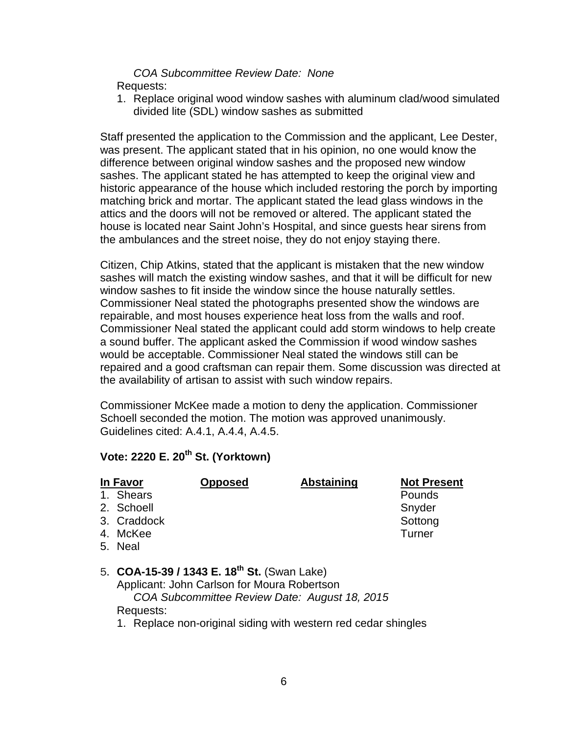#### *COA Subcommittee Review Date: None* Requests:

1. Replace original wood window sashes with aluminum clad/wood simulated divided lite (SDL) window sashes as submitted

Staff presented the application to the Commission and the applicant, Lee Dester, was present. The applicant stated that in his opinion, no one would know the difference between original window sashes and the proposed new window sashes. The applicant stated he has attempted to keep the original view and historic appearance of the house which included restoring the porch by importing matching brick and mortar. The applicant stated the lead glass windows in the attics and the doors will not be removed or altered. The applicant stated the house is located near Saint John's Hospital, and since guests hear sirens from the ambulances and the street noise, they do not enjoy staying there.

Citizen, Chip Atkins, stated that the applicant is mistaken that the new window sashes will match the existing window sashes, and that it will be difficult for new window sashes to fit inside the window since the house naturally settles. Commissioner Neal stated the photographs presented show the windows are repairable, and most houses experience heat loss from the walls and roof. Commissioner Neal stated the applicant could add storm windows to help create a sound buffer. The applicant asked the Commission if wood window sashes would be acceptable. Commissioner Neal stated the windows still can be repaired and a good craftsman can repair them. Some discussion was directed at the availability of artisan to assist with such window repairs.

Commissioner McKee made a motion to deny the application. Commissioner Schoell seconded the motion. The motion was approved unanimously. Guidelines cited: A.4.1, A.4.4, A.4.5.

## **Vote: 2220 E. 20th St. (Yorktown)**

| In Favor                                                                                                                                                                                                                                                                                                 | <b>Opposed</b> | <b>Abstaining</b> | <b>Not Present</b> |
|----------------------------------------------------------------------------------------------------------------------------------------------------------------------------------------------------------------------------------------------------------------------------------------------------------|----------------|-------------------|--------------------|
| 1. Shears                                                                                                                                                                                                                                                                                                |                |                   | Pounds             |
| 2. Schoell                                                                                                                                                                                                                                                                                               |                |                   | Snyder             |
| 3. Craddock                                                                                                                                                                                                                                                                                              |                |                   | Sottong            |
| 4. McKee                                                                                                                                                                                                                                                                                                 |                |                   | Turner             |
| 5. Neal                                                                                                                                                                                                                                                                                                  |                |                   |                    |
|                                                                                                                                                                                                                                                                                                          |                |                   |                    |
| $F_{\rm A}$ $C_{\rm A}$ $C_{\rm A}$ $C_{\rm A}$ $C_{\rm A}$ $C_{\rm A}$ $C_{\rm A}$ $C_{\rm A}$ $C_{\rm A}$ $C_{\rm A}$ $C_{\rm A}$ $C_{\rm A}$ $C_{\rm A}$ $C_{\rm A}$ $C_{\rm A}$ $C_{\rm A}$ $C_{\rm A}$ $C_{\rm A}$ $C_{\rm A}$ $C_{\rm A}$ $C_{\rm A}$ $C_{\rm A}$ $C_{\rm A}$ $C_{\rm A}$ $C_{\rm$ |                |                   |                    |

- 5. **COA-15-39 / 1343 E. 18th St.** (Swan Lake) Applicant: John Carlson for Moura Robertson *COA Subcommittee Review Date: August 18, 2015* Requests:
	- 1. Replace non-original siding with western red cedar shingles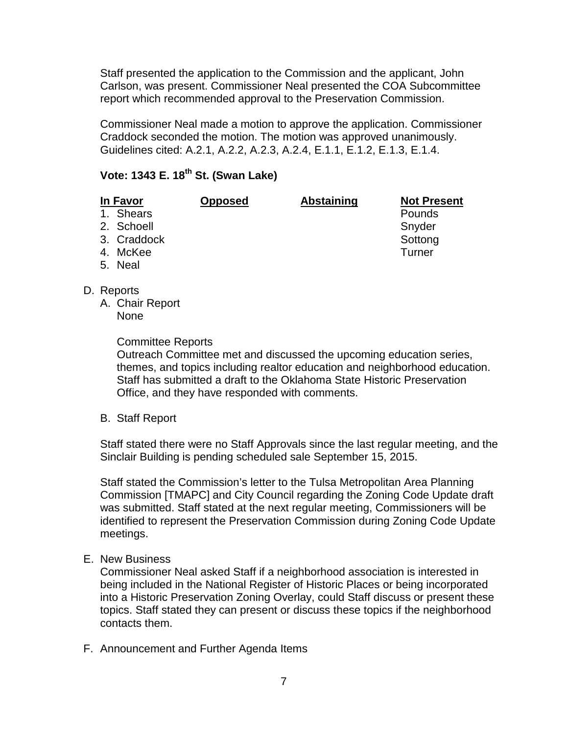Staff presented the application to the Commission and the applicant, John Carlson, was present. Commissioner Neal presented the COA Subcommittee report which recommended approval to the Preservation Commission.

Commissioner Neal made a motion to approve the application. Commissioner Craddock seconded the motion. The motion was approved unanimously. Guidelines cited: A.2.1, A.2.2, A.2.3, A.2.4, E.1.1, E.1.2, E.1.3, E.1.4.

# **Vote: 1343 E. 18th St. (Swan Lake)**

| In Favor |             | <b>Opposed</b> | <b>Abstaining</b> | <b>Not Present</b> |  |
|----------|-------------|----------------|-------------------|--------------------|--|
|          | 1. Shears   |                |                   | Pounds             |  |
|          | 2. Schoell  |                |                   | Snyder             |  |
|          | 3. Craddock |                |                   | Sottong            |  |
|          | 4. McKee    |                |                   | Turner             |  |
|          | 5. Neal     |                |                   |                    |  |

- D. Reports
	- A. Chair Report None

Committee Reports

Outreach Committee met and discussed the upcoming education series, themes, and topics including realtor education and neighborhood education. Staff has submitted a draft to the Oklahoma State Historic Preservation Office, and they have responded with comments.

B. Staff Report

Staff stated there were no Staff Approvals since the last regular meeting, and the Sinclair Building is pending scheduled sale September 15, 2015.

Staff stated the Commission's letter to the Tulsa Metropolitan Area Planning Commission [TMAPC] and City Council regarding the Zoning Code Update draft was submitted. Staff stated at the next regular meeting, Commissioners will be identified to represent the Preservation Commission during Zoning Code Update meetings.

### E. New Business

Commissioner Neal asked Staff if a neighborhood association is interested in being included in the National Register of Historic Places or being incorporated into a Historic Preservation Zoning Overlay, could Staff discuss or present these topics. Staff stated they can present or discuss these topics if the neighborhood contacts them.

F. Announcement and Further Agenda Items